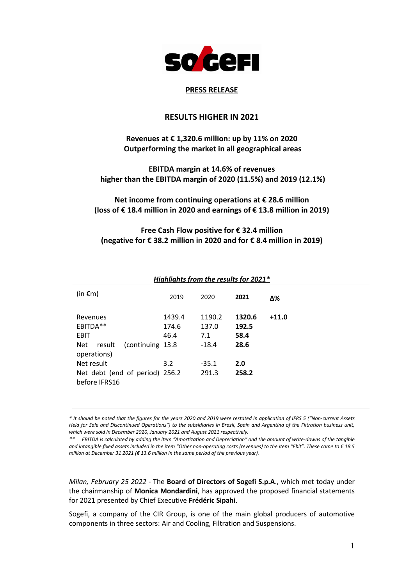

# **PRESS RELEASE**

# **RESULTS HIGHER IN 2021**

# **Revenues at € 1,320.6 million: up by 11% on 2020 Outperforming the market in all geographical areas**

# **EBITDA margin at 14.6% of revenues higher than the EBITDA margin of 2020 (11.5%) and 2019 (12.1%)**

**Net income from continuing operations at € 28.6 million (loss of € 18.4 million in 2020 and earnings of € 13.8 million in 2019)**

**Free Cash Flow positive for € 32.4 million (negative for € 38.2 million in 2020 and for € 8.4 million in 2019)**

|                                                                                                                                          | Highlights from the results for 2021 $\degree$ |                                                       |                                                 |         |
|------------------------------------------------------------------------------------------------------------------------------------------|------------------------------------------------|-------------------------------------------------------|-------------------------------------------------|---------|
| (in $\epsilon$ m)                                                                                                                        | 2019                                           | 2020                                                  | 2021                                            | Δ%      |
| Revenues<br>EBITDA**<br><b>EBIT</b><br>(continuing 13.8)<br>result<br>Net<br>operations)<br>Net result<br>Net debt (end of period) 256.2 | 1439.4<br>174.6<br>46.4<br>3.2                 | 1190.2<br>137.0<br>7.1<br>$-18.4$<br>$-35.1$<br>291.3 | 1320.6<br>192.5<br>58.4<br>28.6<br>2.0<br>258.2 | $+11.0$ |
| before IFRS16                                                                                                                            |                                                |                                                       |                                                 |         |

# *Highlights from the results for 2021\**

*\* It should be noted that the figures for the years 2020 and 2019 were restated in application of IFRS 5 ("Non-current Assets Held for Sale and Discontinued Operations") to the subsidiaries in Brazil, Spain and Argentina of the Filtration business unit, which were sold in December 2020, January 2021 and August 2021 respectively.*

*\*\* EBITDA is calculated by adding the item "Amortization and Depreciation" and the amount of write-downs of the tangible and intangible fixed assets included in the item "Other non-operating costs (revenues) to the item "Ebit". These came to € 18.5 million at December 31 2021 (€ 13.6 million in the same period of the previous year).* 

*Milan, February 25 2022* - The **Board of Directors of Sogefi S.p.A**., which met today under the chairmanship of **Monica Mondardini**, has approved the proposed financial statements for 2021 presented by Chief Executive **Frédéric Sipahi**.

Sogefi, a company of the CIR Group, is one of the main global producers of automotive components in three sectors: Air and Cooling, Filtration and Suspensions.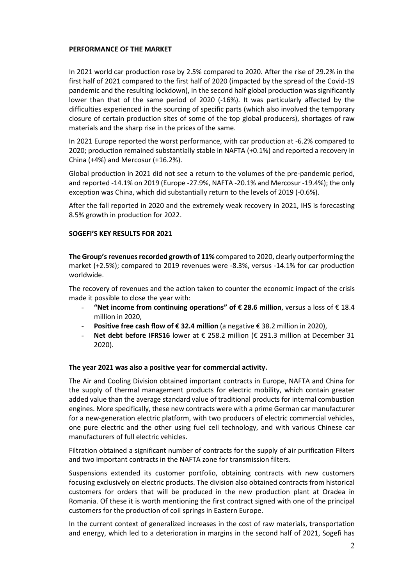### **PERFORMANCE OF THE MARKET**

In 2021 world car production rose by 2.5% compared to 2020. After the rise of 29.2% in the first half of 2021 compared to the first half of 2020 (impacted by the spread of the Covid-19 pandemic and the resulting lockdown), in the second half global production was significantly lower than that of the same period of 2020 (-16%). It was particularly affected by the difficulties experienced in the sourcing of specific parts (which also involved the temporary closure of certain production sites of some of the top global producers), shortages of raw materials and the sharp rise in the prices of the same.

In 2021 Europe reported the worst performance, with car production at -6.2% compared to 2020; production remained substantially stable in NAFTA (+0.1%) and reported a recovery in China (+4%) and Mercosur (+16.2%).

Global production in 2021 did not see a return to the volumes of the pre-pandemic period, and reported -14.1% on 2019 (Europe -27.9%, NAFTA -20.1% and Mercosur -19.4%); the only exception was China, which did substantially return to the levels of 2019 (-0.6%).

After the fall reported in 2020 and the extremely weak recovery in 2021, IHS is forecasting 8.5% growth in production for 2022.

### **SOGEFI'S KEY RESULTS FOR 2021**

**The Group's revenues recorded growth of 11%** compared to 2020, clearly outperforming the market (+2.5%); compared to 2019 revenues were -8.3%, versus -14.1% for car production worldwide.

The recovery of revenues and the action taken to counter the economic impact of the crisis made it possible to close the year with:

- **"Net income from continuing operations" of € 28.6 million**, versus a loss of € 18.4 million in 2020,
- **Positive free cash flow of € 32.4 million** (a negative € 38.2 million in 2020),
- **Net debt before IFRS16** lower at € 258.2 million (€ 291.3 million at December 31 2020).

### **The year 2021 was also a positive year for commercial activity.**

The Air and Cooling Division obtained important contracts in Europe, NAFTA and China for the supply of thermal management products for electric mobility, which contain greater added value than the average standard value of traditional products for internal combustion engines. More specifically, these new contracts were with a prime German car manufacturer for a new-generation electric platform, with two producers of electric commercial vehicles, one pure electric and the other using fuel cell technology, and with various Chinese car manufacturers of full electric vehicles.

Filtration obtained a significant number of contracts for the supply of air purification Filters and two important contracts in the NAFTA zone for transmission filters.

Suspensions extended its customer portfolio, obtaining contracts with new customers focusing exclusively on electric products. The division also obtained contracts from historical customers for orders that will be produced in the new production plant at Oradea in Romania. Of these it is worth mentioning the first contract signed with one of the principal customers for the production of coil springs in Eastern Europe.

In the current context of generalized increases in the cost of raw materials, transportation and energy, which led to a deterioration in margins in the second half of 2021, Sogefi has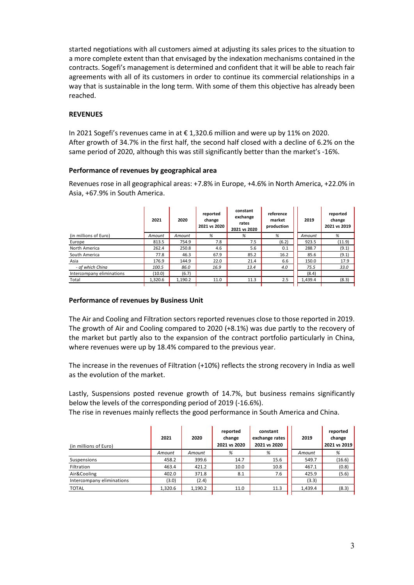started negotiations with all customers aimed at adjusting its sales prices to the situation to a more complete extent than that envisaged by the indexation mechanisms contained in the contracts. Sogefi's management is determined and confident that it will be able to reach fair agreements with all of its customers in order to continue its commercial relationships in a way that is sustainable in the long term. With some of them this objective has already been reached.

## **REVENUES**

In 2021 Sogefi's revenues came in at € 1,320.6 million and were up by 11% on 2020. After growth of 34.7% in the first half, the second half closed with a decline of 6.2% on the same period of 2020, although this was still significantly better than the market's -16%.

## **Performance of revenues by geographical area**

Revenues rose in all geographical areas: +7.8% in Europe, +4.6% in North America, +22.0% in Asia, +67.9% in South America.

|                           | 2021    | 2020    | reported<br>change<br>2021 vs 2020 | constant<br>exchange<br>rates<br>2021 vs 2020 | reference<br>market<br>production | 2019    | reported<br>change<br>2021 vs 2019 |
|---------------------------|---------|---------|------------------------------------|-----------------------------------------------|-----------------------------------|---------|------------------------------------|
| (in millions of Euro)     | Amount  | Amount  | %                                  | %                                             | %                                 | Amount  | %                                  |
| Europe                    | 813.5   | 754.9   | 7.8                                | 7.5                                           | (6.2)                             | 923.5   | (11.9)                             |
| North America             | 262.4   | 250.8   | 4.6                                | 5.6                                           | 0.1                               | 288.7   | (9.1)                              |
| South America             | 77.8    | 46.3    | 67.9                               | 85.2                                          | 16.2                              | 85.6    | (9.1)                              |
| Asia                      | 176.9   | 144.9   | 22.0                               | 21.4                                          | 6.6                               | 150.0   | 17.9                               |
| - of which China          | 100.5   | 86.0    | 16.9                               | 13.4                                          | 4.0                               | 75.5    | 33.0                               |
| Intercompany eliminations | (10.0)  | (6.7)   |                                    |                                               |                                   | (8.4)   |                                    |
| Total                     | 1.320.6 | 1,190.2 | 11.0                               | 11.3                                          | 2.5                               | 1.439.4 | (8.3)                              |
|                           |         |         |                                    |                                               |                                   |         |                                    |

### **Performance of revenues by Business Unit**

The Air and Cooling and Filtration sectors reported revenues close to those reported in 2019. The growth of Air and Cooling compared to 2020 (+8.1%) was due partly to the recovery of the market but partly also to the expansion of the contract portfolio particularly in China, where revenues were up by 18.4% compared to the previous year.

The increase in the revenues of Filtration (+10%) reflects the strong recovery in India as well as the evolution of the market.

Lastly, Suspensions posted revenue growth of 14.7%, but business remains significantly below the levels of the corresponding period of 2019 (-16.6%).

The rise in revenues mainly reflects the good performance in South America and China.

| (in millions of Euro)     | 2021    | 2020    | reported<br>change<br>2021 vs 2020 | constant<br>exchange rates<br>2021 vs 2020 | 2019    | reported<br>change<br>2021 vs 2019 |
|---------------------------|---------|---------|------------------------------------|--------------------------------------------|---------|------------------------------------|
|                           | Amount  | Amount  | %                                  | %                                          | Amount  | %                                  |
| Suspensions               | 458.2   | 399.6   | 14.7                               | 15.6                                       | 549.7   | (16.6)                             |
| Filtration                | 463.4   | 421.2   | 10.0                               | 10.8                                       | 467.1   | (0.8)                              |
| Air&Cooling               | 402.0   | 371.8   | 8.1                                | 7.6                                        | 425.9   | (5.6)                              |
| Intercompany eliminations | (3.0)   | (2.4)   |                                    |                                            | (3.3)   |                                    |
| <b>TOTAL</b>              | 1,320.6 | 1,190.2 | 11.0                               | 11.3                                       | 1,439.4 | (8.3)                              |
|                           |         |         |                                    |                                            |         |                                    |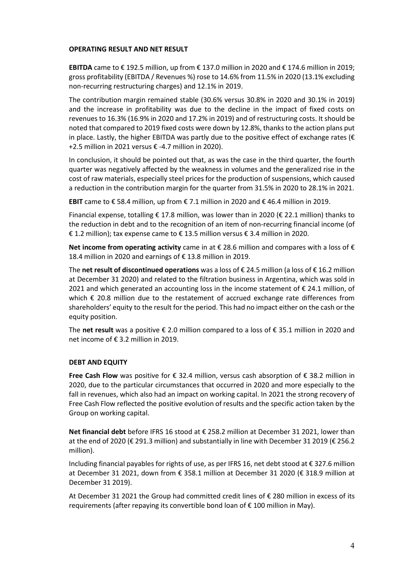### **OPERATING RESULT AND NET RESULT**

**EBITDA** came to € 192.5 million, up from € 137.0 million in 2020 and € 174.6 million in 2019; gross profitability (EBITDA / Revenues %) rose to 14.6% from 11.5% in 2020 (13.1% excluding non-recurring restructuring charges) and 12.1% in 2019.

The contribution margin remained stable (30.6% versus 30.8% in 2020 and 30.1% in 2019) and the increase in profitability was due to the decline in the impact of fixed costs on revenues to 16.3% (16.9% in 2020 and 17.2% in 2019) and of restructuring costs. It should be noted that compared to 2019 fixed costs were down by 12.8%, thanks to the action plans put in place. Lastly, the higher EBITDA was partly due to the positive effect of exchange rates ( $\epsilon$ +2.5 million in 2021 versus € -4.7 million in 2020).

In conclusion, it should be pointed out that, as was the case in the third quarter, the fourth quarter was negatively affected by the weakness in volumes and the generalized rise in the cost of raw materials, especially steel prices for the production of suspensions, which caused a reduction in the contribution margin for the quarter from 31.5% in 2020 to 28.1% in 2021.

**EBIT** came to €58.4 million, up from  $€ 7.1$  million in 2020 and  $€ 46.4$  million in 2019.

Financial expense, totalling € 17.8 million, was lower than in 2020 (€ 22.1 million) thanks to the reduction in debt and to the recognition of an item of non-recurring financial income (of € 1.2 million); tax expense came to  $\epsilon$  13.5 million versus  $\epsilon$  3.4 million in 2020.

**Net income from operating activity** came in at € 28.6 million and compares with a loss of € 18.4 million in 2020 and earnings of € 13.8 million in 2019.

The **net result of discontinued operations** was a loss of € 24.5 million (a loss of € 16.2 million at December 31 2020) and related to the filtration business in Argentina, which was sold in 2021 and which generated an accounting loss in the income statement of € 24.1 million, of which € 20.8 million due to the restatement of accrued exchange rate differences from shareholders' equity to the result for the period. This had no impact either on the cash or the equity position.

The **net result** was a positive € 2.0 million compared to a loss of € 35.1 million in 2020 and net income of € 3.2 million in 2019.

# **DEBT AND EQUITY**

**Free Cash Flow** was positive for € 32.4 million, versus cash absorption of € 38.2 million in 2020, due to the particular circumstances that occurred in 2020 and more especially to the fall in revenues, which also had an impact on working capital. In 2021 the strong recovery of Free Cash Flow reflected the positive evolution of results and the specific action taken by the Group on working capital.

**Net financial debt** before IFRS 16 stood at € 258.2 million at December 31 2021, lower than at the end of 2020 (€ 291.3 million) and substantially in line with December 31 2019 (€ 256.2 million).

Including financial payables for rights of use, as per IFRS 16, net debt stood at € 327.6 million at December 31 2021, down from € 358.1 million at December 31 2020 (€ 318.9 million at December 31 2019).

At December 31 2021 the Group had committed credit lines of € 280 million in excess of its requirements (after repaying its convertible bond loan of € 100 million in May).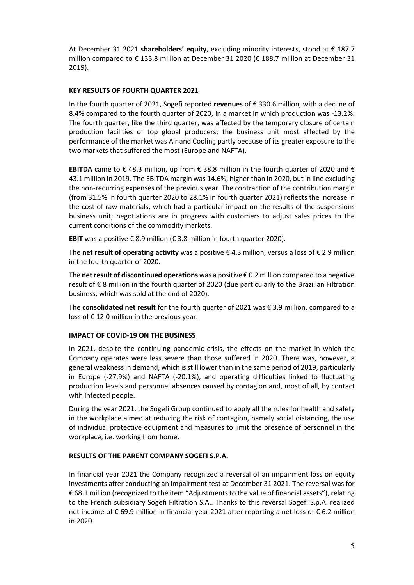At December 31 2021 **shareholders' equity**, excluding minority interests, stood at € 187.7 million compared to € 133.8 million at December 31 2020 (€ 188.7 million at December 31 2019).

# **KEY RESULTS OF FOURTH QUARTER 2021**

In the fourth quarter of 2021, Sogefi reported **revenues** of € 330.6 million, with a decline of 8.4% compared to the fourth quarter of 2020, in a market in which production was -13.2%. The fourth quarter, like the third quarter, was affected by the temporary closure of certain production facilities of top global producers; the business unit most affected by the performance of the market was Air and Cooling partly because of its greater exposure to the two markets that suffered the most (Europe and NAFTA).

**EBITDA** came to € 48.3 million, up from € 38.8 million in the fourth quarter of 2020 and € 43.1 million in 2019. The EBITDA margin was 14.6%, higher than in 2020, but in line excluding the non-recurring expenses of the previous year. The contraction of the contribution margin (from 31.5% in fourth quarter 2020 to 28.1% in fourth quarter 2021) reflects the increase in the cost of raw materials, which had a particular impact on the results of the suspensions business unit; negotiations are in progress with customers to adjust sales prices to the current conditions of the commodity markets.

**EBIT** was a positive € 8.9 million (€ 3.8 million in fourth quarter 2020).

The **net result of operating activity** was a positive € 4.3 million, versus a loss of € 2.9 million in the fourth quarter of 2020.

The **net result of discontinued operations** was a positive € 0.2 million compared to a negative result of € 8 million in the fourth quarter of 2020 (due particularly to the Brazilian Filtration business, which was sold at the end of 2020).

The **consolidated net result** for the fourth quarter of 2021 was € 3.9 million, compared to a loss of  $\epsilon$  12.0 million in the previous year.

### **IMPACT OF COVID-19 ON THE BUSINESS**

In 2021, despite the continuing pandemic crisis, the effects on the market in which the Company operates were less severe than those suffered in 2020. There was, however, a general weakness in demand, which is still lower than in the same period of 2019, particularly in Europe (-27.9%) and NAFTA (-20.1%), and operating difficulties linked to fluctuating production levels and personnel absences caused by contagion and, most of all, by contact with infected people.

During the year 2021, the Sogefi Group continued to apply all the rules for health and safety in the workplace aimed at reducing the risk of contagion, namely social distancing, the use of individual protective equipment and measures to limit the presence of personnel in the workplace, i.e. working from home.

### **RESULTS OF THE PARENT COMPANY SOGEFI S.P.A.**

In financial year 2021 the Company recognized a reversal of an impairment loss on equity investments after conducting an impairment test at December 31 2021. The reversal was for € 68.1 million (recognized to the item "Adjustments to the value of financial assets"), relating to the French subsidiary Sogefi Filtration S.A.. Thanks to this reversal Sogefi S.p.A. realized net income of € 69.9 million in financial year 2021 after reporting a net loss of € 6.2 million in 2020.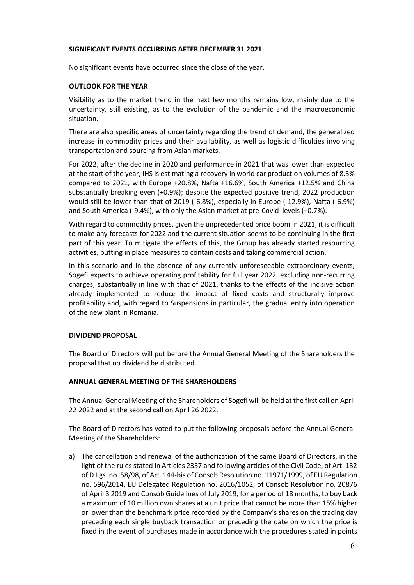### **SIGNIFICANT EVENTS OCCURRING AFTER DECEMBER 31 2021**

No significant events have occurred since the close of the year.

## **OUTLOOK FOR THE YEAR**

Visibility as to the market trend in the next few months remains low, mainly due to the uncertainty, still existing, as to the evolution of the pandemic and the macroeconomic situation.

There are also specific areas of uncertainty regarding the trend of demand, the generalized increase in commodity prices and their availability, as well as logistic difficulties involving transportation and sourcing from Asian markets.

For 2022, after the decline in 2020 and performance in 2021 that was lower than expected at the start of the year, IHS is estimating a recovery in world car production volumes of 8.5% compared to 2021, with Europe +20.8%, Nafta +16.6%, South America +12.5% and China substantially breaking even (+0.9%); despite the expected positive trend, 2022 production would still be lower than that of 2019 (-6.8%), especially in Europe (-12.9%), Nafta (-6.9%) and South America (-9.4%), with only the Asian market at pre-Covid levels (+0.7%).

With regard to commodity prices, given the unprecedented price boom in 2021, it is difficult to make any forecasts for 2022 and the current situation seems to be continuing in the first part of this year. To mitigate the effects of this, the Group has already started resourcing activities, putting in place measures to contain costs and taking commercial action.

In this scenario and in the absence of any currently unforeseeable extraordinary events, Sogefi expects to achieve operating profitability for full year 2022, excluding non-recurring charges, substantially in line with that of 2021, thanks to the effects of the incisive action already implemented to reduce the impact of fixed costs and structurally improve profitability and, with regard to Suspensions in particular, the gradual entry into operation of the new plant in Romania.

# **DIVIDEND PROPOSAL**

The Board of Directors will put before the Annual General Meeting of the Shareholders the proposal that no dividend be distributed.

# **ANNUAL GENERAL MEETING OF THE SHAREHOLDERS**

The Annual General Meeting of the Shareholders of Sogefi will be held at the first call on April 22 2022 and at the second call on April 26 2022.

The Board of Directors has voted to put the following proposals before the Annual General Meeting of the Shareholders:

a) The cancellation and renewal of the authorization of the same Board of Directors, in the light of the rules stated in Articles 2357 and following articles of the Civil Code, of Art. 132 of D.Lgs. no. 58/98, of Art. 144-bis of Consob Resolution no. 11971/1999, of EU Regulation no. 596/2014, EU Delegated Regulation no. 2016/1052, of Consob Resolution no. 20876 of April 3 2019 and Consob Guidelines of July 2019, for a period of 18 months, to buy back a maximum of 10 million own shares at a unit price that cannot be more than 15% higher or lower than the benchmark price recorded by the Company's shares on the trading day preceding each single buyback transaction or preceding the date on which the price is fixed in the event of purchases made in accordance with the procedures stated in points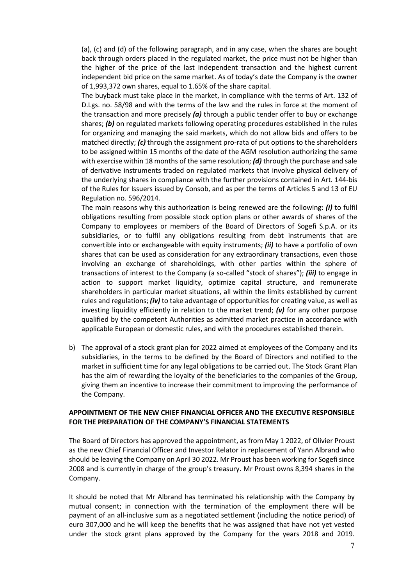(a), (c) and (d) of the following paragraph, and in any case, when the shares are bought back through orders placed in the regulated market, the price must not be higher than the higher of the price of the last independent transaction and the highest current independent bid price on the same market. As of today's date the Company is the owner of 1,993,372 own shares, equal to 1.65% of the share capital.

The buyback must take place in the market, in compliance with the terms of Art. 132 of D.Lgs. no. 58/98 and with the terms of the law and the rules in force at the moment of the transaction and more precisely *(a)* through a public tender offer to buy or exchange shares; *(b)* on regulated markets following operating procedures established in the rules for organizing and managing the said markets, which do not allow bids and offers to be matched directly; *(c)* through the assignment pro-rata of put options to the shareholders to be assigned within 15 months of the date of the AGM resolution authorizing the same with exercise within 18 months of the same resolution; *(d)* through the purchase and sale of derivative instruments traded on regulated markets that involve physical delivery of the underlying shares in compliance with the further provisions contained in Art. 144-bis of the Rules for Issuers issued by Consob, and as per the terms of Articles 5 and 13 of EU Regulation no. 596/2014.

The main reasons why this authorization is being renewed are the following: *(i)* to fulfil obligations resulting from possible stock option plans or other awards of shares of the Company to employees or members of the Board of Directors of Sogefi S.p.A. or its subsidiaries, or to fulfil any obligations resulting from debt instruments that are convertible into or exchangeable with equity instruments; *(ii)* to have a portfolio of own shares that can be used as consideration for any extraordinary transactions, even those involving an exchange of shareholdings, with other parties within the sphere of transactions of interest to the Company (a so-called "stock of shares"); *(iii)* to engage in action to support market liquidity, optimize capital structure, and remunerate shareholders in particular market situations, all within the limits established by current rules and regulations; *(iv)* to take advantage of opportunities for creating value, as well as investing liquidity efficiently in relation to the market trend; *(v)* for any other purpose qualified by the competent Authorities as admitted market practice in accordance with applicable European or domestic rules, and with the procedures established therein.

b) The approval of a stock grant plan for 2022 aimed at employees of the Company and its subsidiaries, in the terms to be defined by the Board of Directors and notified to the market in sufficient time for any legal obligations to be carried out. The Stock Grant Plan has the aim of rewarding the loyalty of the beneficiaries to the companies of the Group, giving them an incentive to increase their commitment to improving the performance of the Company.

### **APPOINTMENT OF THE NEW CHIEF FINANCIAL OFFICER AND THE EXECUTIVE RESPONSIBLE FOR THE PREPARATION OF THE COMPANY'S FINANCIAL STATEMENTS**

The Board of Directors has approved the appointment, as from May 1 2022, of Olivier Proust as the new Chief Financial Officer and Investor Relator in replacement of Yann Albrand who should be leaving the Company on April 30 2022. Mr Proust has been working for Sogefi since 2008 and is currently in charge of the group's treasury. Mr Proust owns 8,394 shares in the Company.

It should be noted that Mr Albrand has terminated his relationship with the Company by mutual consent; in connection with the termination of the employment there will be payment of an all-inclusive sum as a negotiated settlement (including the notice period) of euro 307,000 and he will keep the benefits that he was assigned that have not yet vested under the stock grant plans approved by the Company for the years 2018 and 2019.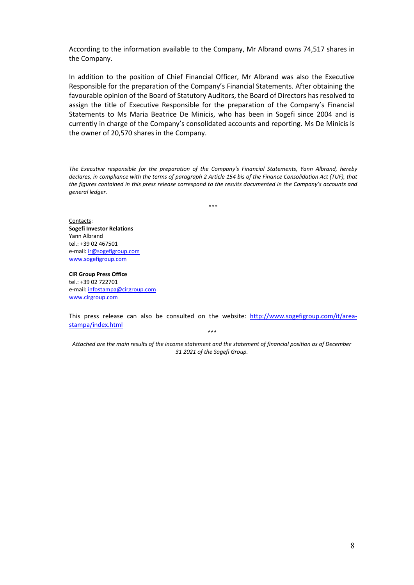According to the information available to the Company, Mr Albrand owns 74,517 shares in the Company.

In addition to the position of Chief Financial Officer, Mr Albrand was also the Executive Responsible for the preparation of the Company's Financial Statements. After obtaining the favourable opinion of the Board of Statutory Auditors, the Board of Directors has resolved to assign the title of Executive Responsible for the preparation of the Company's Financial Statements to Ms Maria Beatrice De Minicis, who has been in Sogefi since 2004 and is currently in charge of the Company's consolidated accounts and reporting. Ms De Minicis is the owner of 20,570 shares in the Company.

*The Executive responsible for the preparation of the Company's Financial Statements, Yann Albrand, hereby declares, in compliance with the terms of paragraph 2 Article 154 bis of the Finance Consolidation Act (TUF), that the figures contained in this press release correspond to the results documented in the Company's accounts and general ledger.*

\*\*\*

Contacts: **Sogefi Investor Relations**  Yann Albrand tel.: +39 02 467501 e-mail[: ir@sogefigroup.com](mailto:ir@sogefigroup.com) [www.sogefigroup.com](http://www.sogefigroup.com/)

**CIR Group Press Office** tel.: +39 02 722701 e-mail[: infostampa@cirgroup.com](mailto:infostampa@cirgroup.it) [www.cirgroup.com](http://www.cirgroup.it/)

This press release can also be consulted on the website: [http://www.sogefigroup.com/it/area](http://www.sogefigroup.com/it/area-stampa/index.html)[stampa/index.html](http://www.sogefigroup.com/it/area-stampa/index.html)

*\*\*\**

*Attached are the main results of the income statement and the statement of financial position as of December 31 2021 of the Sogefi Group.*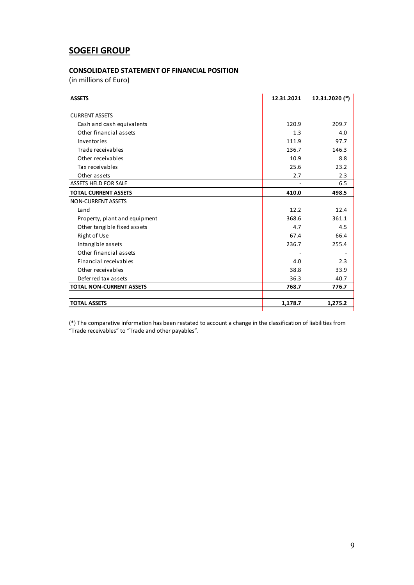# **SOGEFI GROUP**

#### **CONSOLIDATED STATEMENT OF FINANCIAL POSITION**

(in millions of Euro)

| <b>ASSETS</b>                   | 12.31.2021 | 12.31.2020 (*) |
|---------------------------------|------------|----------------|
|                                 |            |                |
| <b>CURRENT ASSETS</b>           |            |                |
| Cash and cash equivalents       | 120.9      | 209.7          |
| Other financial assets          | 1.3        | 4.0            |
| Inventories                     | 111.9      | 97.7           |
| Trade receivables               | 136.7      | 146.3          |
| Other receivables               | 10.9       | 8.8            |
| Tax receivables                 | 25.6       | 23.2           |
| Other assets                    | 2.7        | 2.3            |
| <b>ASSETS HELD FOR SALE</b>     |            | 6.5            |
| <b>TOTAL CURRENT ASSETS</b>     | 410.0      | 498.5          |
| <b>NON-CURRENT ASSETS</b>       |            |                |
| Land                            | 12.2       | 12.4           |
| Property, plant and equipment   | 368.6      | 361.1          |
| Other tangible fixed assets     | 4.7        | 4.5            |
| <b>Right of Use</b>             | 67.4       | 66.4           |
| Intangible assets               | 236.7      | 255.4          |
| Other financial assets          |            |                |
| Financial receivables           | 4.0        | 2.3            |
| Other receivables               | 38.8       | 33.9           |
| Deferred tax assets             | 36.3       | 40.7           |
| <b>TOTAL NON-CURRENT ASSETS</b> | 768.7      | 776.7          |
|                                 |            |                |
| <b>TOTAL ASSETS</b>             | 1,178.7    | 1,275.2        |

(\*) The comparative information has been restated to account a change in the classification of liabilities from "Trade receivables" to "Trade and other payables".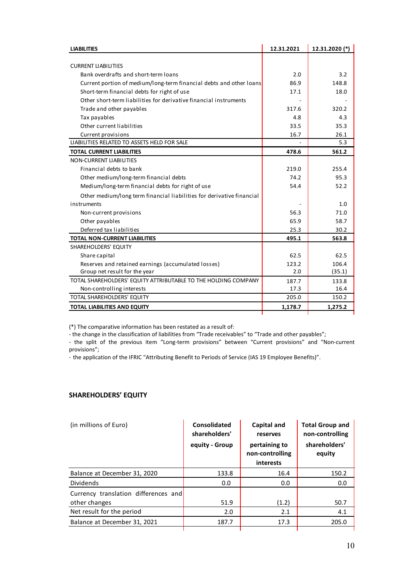| <b>LIABILITIES</b>                                                    | 12.31.2021 | 12.31.2020 (*) |
|-----------------------------------------------------------------------|------------|----------------|
|                                                                       |            |                |
| <b>CURRENT LIABILITIES</b>                                            |            |                |
| Bank overdrafts and short-term loans                                  | 2.0        | 3.2            |
| Current portion of medium/long-term financial debts and other loans   | 86.9       | 148.8          |
| Short-term financial debts for right of use                           | 17.1       | 18.0           |
| Other short-term liabilities for derivative financial instruments     |            |                |
| Trade and other payables                                              | 317.6      | 320.2          |
| Tax payables                                                          | 4.8        | 4.3            |
| Other current liabilities                                             | 33.5       | 35.3           |
| Current provisions                                                    | 16.7       | 26.1           |
| LIABILITIES RELATED TO ASSETS HELD FOR SALE                           |            | 5.3            |
| <b>TOTAL CURRENT LIABILITIES</b>                                      | 478.6      | 561.2          |
| NON-CURRENT LIABILITIES                                               |            |                |
| Financial debts to bank                                               | 219.0      | 255.4          |
| Other medium/long-term financial debts                                | 74.2       | 95.3           |
| Medium/long-term financial debts for right of use                     | 54.4       | 52.2           |
| Other medium/long term financial liabilities for derivative financial |            |                |
| instruments                                                           |            | 1.0            |
| Non-current provisions                                                | 56.3       | 71.0           |
| Other payables                                                        | 65.9       | 58.7           |
| Deferred tax liabilities                                              | 25.3       | 30.2           |
| <b>TOTAL NON-CURRENT LIABILITIES</b>                                  | 495.1      | 563.8          |
| SHAREHOLDERS' EQUITY                                                  |            |                |
| Share capital                                                         | 62.5       | 62.5           |
| Reserves and retained earnings (accumulated losses)                   | 123.2      | 106.4          |
| Group net result for the year                                         | 2.0        | (35.1)         |
| TOTAL SHAREHOLDERS' EQUITY ATTRIBUTABLE TO THE HOLDING COMPANY        | 187.7      | 133.8          |
| Non-controlling interests                                             | 17.3       | 16.4           |
| <b>TOTAL SHAREHOLDERS' EQUITY</b>                                     | 205.0      | 150.2          |
| <b>TOTAL LIABILITIES AND EQUITY</b>                                   | 1,178.7    | 1,275.2        |

(\*) The comparative information has been restated as a result of:

- the change in the classification of liabilities from "Trade receivables" to "Trade and other payables";

- the split of the previous item "Long-term provisions" between "Current provisions" and "Non-current provisions";

- the application of the IFRIC "Attributing Benefit to Periods of Service (IAS 19 Employee Benefits)".

### **SHAREHOLDERS' EQUITY**

| (in millions of Euro)                | Consolidated<br>shareholders' | <b>Capital and</b><br>reserves                | <b>Total Group and</b><br>non-controlling |
|--------------------------------------|-------------------------------|-----------------------------------------------|-------------------------------------------|
|                                      | equity - Group                | pertaining to<br>non-controlling<br>interests | shareholders'<br>equity                   |
| Balance at December 31, 2020         | 133.8                         | 16.4                                          | 150.2                                     |
| <b>Dividends</b>                     | 0.0                           | 0.0                                           | 0.0                                       |
| Currency translation differences and |                               |                                               |                                           |
| other changes                        | 51.9                          | (1.2)                                         | 50.7                                      |
| Net result for the period            | 2.0                           | 2.1                                           | 4.1                                       |
| Balance at December 31, 2021         | 187.7                         | 17.3                                          | 205.0                                     |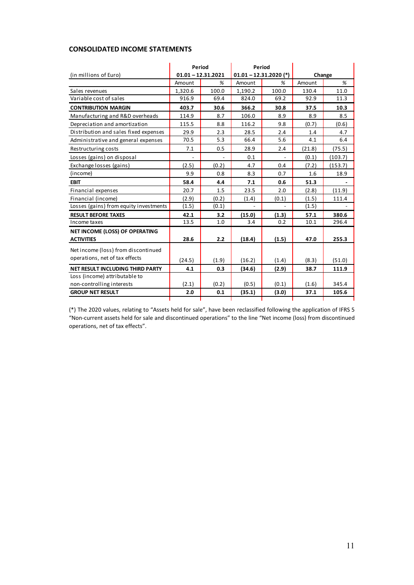## **CONSOLIDATED INCOME STATEMENTS**

|                                        | Period               |       | Period  |                          |        |         |
|----------------------------------------|----------------------|-------|---------|--------------------------|--------|---------|
| (in millions of Euro)                  | $01.01 - 12.31.2021$ |       |         | $01.01 - 12.31.2020$ (*) | Change |         |
|                                        | Amount               | %     | Amount  | %                        | Amount | %       |
| Sales revenues                         | 1,320.6              | 100.0 | 1,190.2 | 100.0                    | 130.4  | 11.0    |
| Variable cost of sales                 | 916.9                | 69.4  | 824.0   | 69.2                     | 92.9   | 11.3    |
| <b>CONTRIBUTION MARGIN</b>             | 403.7                | 30.6  | 366.2   | 30.8                     | 37.5   | 10.3    |
| Manufacturing and R&D overheads        | 114.9                | 8.7   | 106.0   | 8.9                      | 8.9    | 8.5     |
| Depreciation and amortization          | 115.5                | 8.8   | 116.2   | 9.8                      | (0.7)  | (0.6)   |
| Distribution and sales fixed expenses  | 29.9                 | 2.3   | 28.5    | 2.4                      | 1.4    | 4.7     |
| Administrative and general expenses    | 70.5                 | 5.3   | 66.4    | 5.6                      | 4.1    | 6.4     |
| Restructuring costs                    | 7.1                  | 0.5   | 28.9    | 2.4                      | (21.8) | (75.5)  |
| Losses (gains) on disposal             |                      |       | 0.1     |                          | (0.1)  | (103.7) |
| Exchange losses (gains)                | (2.5)                | (0.2) | 4.7     | 0.4                      | (7.2)  | (153.7) |
| (income)                               | 9.9                  | 0.8   | 8.3     | 0.7                      | 1.6    | 18.9    |
| <b>EBIT</b>                            | 58.4                 | 4.4   | 7.1     | 0.6                      | 51.3   |         |
| Financial expenses                     | 20.7                 | 1.5   | 23.5    | 2.0                      | (2.8)  | (11.9)  |
| Financial (income)                     | (2.9)                | (0.2) | (1.4)   | (0.1)                    | (1.5)  | 111.4   |
| Losses (gains) from equity investments | (1.5)                | (0.1) |         |                          | (1.5)  |         |
| <b>RESULT BEFORE TAXES</b>             | 42.1                 | 3.2   | (15.0)  | (1.3)                    | 57.1   | 380.6   |
| Income taxes                           | 13.5                 | 1.0   | 3.4     | 0.2                      | 10.1   | 296.4   |
| <b>NET INCOME (LOSS) OF OPERATING</b>  |                      |       |         |                          |        |         |
| <b>ACTIVITIES</b>                      | 28.6                 | 2.2   | (18.4)  | (1.5)                    | 47.0   | 255.3   |
| Net income (loss) from discontinued    |                      |       |         |                          |        |         |
| operations, net of tax effects         | (24.5)               | (1.9) | (16.2)  | (1.4)                    | (8.3)  | (51.0)  |
| NET RESULT INCLUDING THIRD PARTY       | 4.1                  | 0.3   | (34.6)  | (2.9)                    | 38.7   | 111.9   |
| Loss (income) attributable to          |                      |       |         |                          |        |         |
| non-controlling interests              | (2.1)                | (0.2) | (0.5)   | (0.1)                    | (1.6)  | 345.4   |
| <b>GROUP NET RESULT</b>                | 2.0                  | 0.1   | (35.1)  | (3.0)                    | 37.1   | 105.6   |
|                                        |                      |       |         |                          |        |         |

(\*) The 2020 values, relating to "Assets held for sale", have been reclassified following the application of IFRS 5 "Non-current assets held for sale and discontinued operations" to the line "Net income (loss) from discontinued operations, net of tax effects".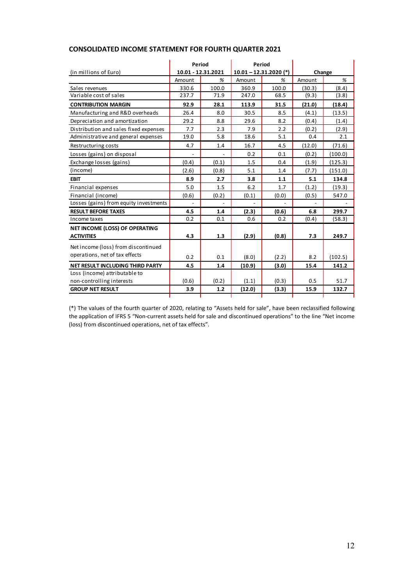|                                                            | Period |                    | Period                   |       |        |         |
|------------------------------------------------------------|--------|--------------------|--------------------------|-------|--------|---------|
| (in millions of Euro)                                      |        | 10.01 - 12.31.2021 | $10.01 - 12.31.2020$ (*) |       | Change |         |
|                                                            | Amount | %                  | Amount                   | %     | Amount | %       |
| Sales revenues                                             | 330.6  | 100.0              | 360.9                    | 100.0 | (30.3) | (8.4)   |
| Variable cost of sales                                     | 237.7  | 71.9               | 247.0                    | 68.5  | (9.3)  | (3.8)   |
| <b>CONTRIBUTION MARGIN</b>                                 | 92.9   | 28.1               | 113.9                    | 31.5  | (21.0) | (18.4)  |
| Manufacturing and R&D overheads                            | 26.4   | 8.0                | 30.5                     | 8.5   | (4.1)  | (13.5)  |
| Depreciation and amortization                              | 29.2   | 8.8                | 29.6                     | 8.2   | (0.4)  | (1.4)   |
| Distribution and sales fixed expenses                      | 7.7    | 2.3                | 7.9                      | 2.2   | (0.2)  | (2.9)   |
| Administrative and general expenses                        | 19.0   | 5.8                | 18.6                     | 5.1   | 0.4    | 2.1     |
| Restructuring costs                                        | 4.7    | 1.4                | 16.7                     | 4.5   | (12.0) | (71.6)  |
| Losses (gains) on disposal                                 |        |                    | 0.2                      | 0.1   | (0.2)  | (100.0) |
| Exchange losses (gains)                                    | (0.4)  | (0.1)              | 1.5                      | 0.4   | (1.9)  | (125.3) |
| (income)                                                   | (2.6)  | (0.8)              | 5.1                      | 1.4   | (7.7)  | (151.0) |
| <b>EBIT</b>                                                | 8.9    | 2.7                | 3.8                      | 1.1   | 5.1    | 134.8   |
| Financial expenses                                         | 5.0    | 1.5                | 6.2                      | 1.7   | (1.2)  | (19.3)  |
| Financial (income)                                         | (0.6)  | (0.2)              | (0.1)                    | (0.0) | (0.5)  | 547.0   |
| Losses (gains) from equity investments                     |        |                    |                          |       |        |         |
| <b>RESULT BEFORE TAXES</b>                                 | 4.5    | 1.4                | (2.3)                    | (0.6) | 6.8    | 299.7   |
| Income taxes                                               | 0.2    | 0.1                | 0.6                      | 0.2   | (0.4)  | (58.3)  |
| NET INCOME (LOSS) OF OPERATING                             |        |                    |                          |       |        |         |
| <b>ACTIVITIES</b>                                          | 4.3    | 1.3                | (2.9)                    | (0.8) | 7.3    | 249.7   |
| Net income (loss) from discontinued                        |        |                    |                          |       |        |         |
| operations, net of tax effects                             | 0.2    | 0.1                | (8.0)                    | (2.2) | 8.2    | (102.5) |
|                                                            |        |                    |                          |       |        |         |
| NET RESULT INCLUDING THIRD PARTY                           | 4.5    | 1.4                | (10.9)                   | (3.0) | 15.4   | 141.2   |
| Loss (income) attributable to<br>non-controlling interests | (0.6)  | (0.2)              | (1.1)                    | (0.3) | 0.5    | 51.7    |
| <b>GROUP NET RESULT</b>                                    | 3.9    | 1.2                | (12.0)                   | (3.3) | 15.9   | 132.7   |
|                                                            |        |                    |                          |       |        |         |

## **CONSOLIDATED INCOME STATEMENT FOR FOURTH QUARTER 2021**

(\*) The values of the fourth quarter of 2020, relating to "Assets held for sale", have been reclassified following the application of IFRS 5 "Non-current assets held for sale and discontinued operations" to the line "Net income (loss) from discontinued operations, net of tax effects".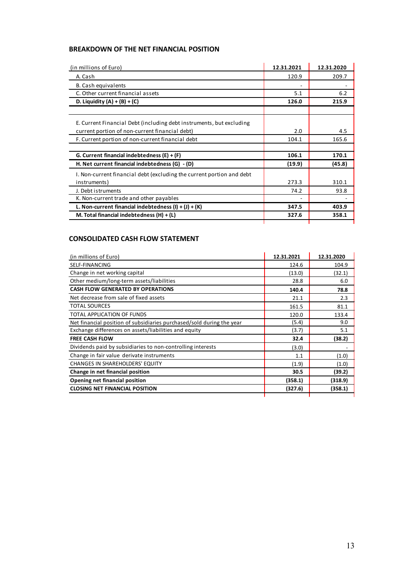## **BREAKDOWN OF THE NET FINANCIAL POSITION**

| (in millions of Euro)                                                 | 12.31.2021 | 12.31.2020 |
|-----------------------------------------------------------------------|------------|------------|
| A. Cash                                                               | 120.9      | 209.7      |
| B. Cash equivalents                                                   |            |            |
| C. Other current financial assets                                     | 5.1        | 6.2        |
| D. Liquidity $(A) + (B) + (C)$                                        | 126.0      | 215.9      |
|                                                                       |            |            |
| E. Current Financial Debt (including debt instruments, but excluding  |            |            |
| current portion of non-current financial debt)                        | 2.0        | 4.5        |
| F. Current portion of non-current financial debt                      | 104.1      | 165.6      |
| G. Current financial indebtedness $(E) + (F)$                         | 106.1      | 170.1      |
| H. Net current financial indebtedness (G) - (D)                       | (19.9)     | (45.8)     |
| I. Non-current financial debt (excluding the current portion and debt |            |            |
| instruments)                                                          | 273.3      | 310.1      |
| J. Debt istruments                                                    | 74.2       | 93.8       |
| K. Non-current trade and other payables                               |            |            |
| L. Non-current financial indebtedness $(l) + (J) + (K)$               | 347.5      | 403.9      |
| M. Total financial indebtedness $(H) + (L)$                           | 327.6      | 358.1      |

# **CONSOLIDATED CASH FLOW STATEMENT**

| (in millions of Euro)                                                 | 12.31.2021 | 12.31.2020 |
|-----------------------------------------------------------------------|------------|------------|
| SELF-FINANCING                                                        | 124.6      | 104.9      |
| Change in net working capital                                         | (13.0)     | (32.1)     |
| Other medium/long-term assets/liabilities                             | 28.8       | 6.0        |
| <b>CASH FLOW GENERATED BY OPERATIONS</b>                              | 140.4      | 78.8       |
| Net decrease from sale of fixed assets                                | 21.1       | 2.3        |
| <b>TOTAL SOURCES</b>                                                  | 161.5      | 81.1       |
| TOTAL APPLICATION OF FUNDS                                            | 120.0      | 133.4      |
| Net financial position of subsidiaries purchased/sold during the year | (5.4)      | 9.0        |
| Exchange differences on assets/liabilities and equity                 | (3.7)      | 5.1        |
| <b>FREE CASH FLOW</b>                                                 | 32.4       | (38.2)     |
| Dividends paid by subsidiaries to non-controlling interests           | (3.0)      |            |
| Change in fair value derivate instruments                             | 1.1        | (1.0)      |
| <b>CHANGES IN SHAREHOLDERS' EQUITY</b>                                | (1.9)      | (1.0)      |
| Change in net financial position                                      | 30.5       | (39.2)     |
| Opening net financial position                                        | (358.1)    | (318.9)    |
| <b>CLOSING NET FINANCIAL POSITION</b>                                 | (327.6)    | (358.1)    |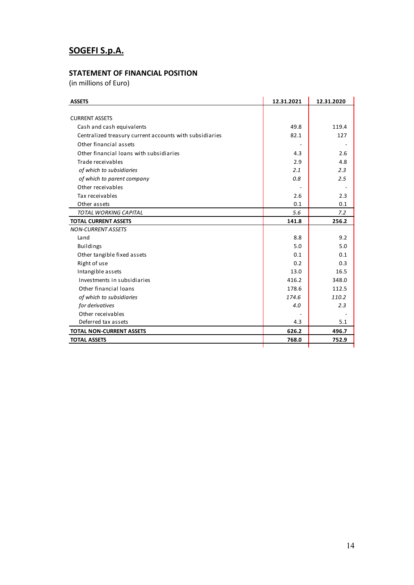# **SOGEFI S.p.A.**

# **STATEMENT OF FINANCIAL POSITION**

(in millions of Euro)

| <b>ASSETS</b>                                           | 12.31.2021 | 12.31.2020 |
|---------------------------------------------------------|------------|------------|
|                                                         |            |            |
| <b>CURRENT ASSETS</b>                                   |            |            |
| Cash and cash equivalents                               | 49.8       | 119.4      |
| Centralized treasury current accounts with subsidiaries | 82.1       | 127        |
| Other financial assets                                  |            |            |
| Other financial loans with subsidiaries                 | 4.3        | 2.6        |
| Trade receivables                                       | 2.9        | 4.8        |
| of which to subsidiaries                                | 2.1        | 2.3        |
| of which to parent company                              | 0.8        | 2.5        |
| Other receivables                                       |            |            |
| Tax receivables                                         | 2.6        | 2.3        |
| Other assets                                            | 0.1        | 0.1        |
| <b>TOTAL WORKING CAPITAL</b>                            | 5.6        | 7.2        |
| <b>TOTAL CURRENT ASSETS</b>                             | 141.8      | 256.2      |
| <b>NON-CURRENT ASSETS</b>                               |            |            |
| Land                                                    | 8.8        | 9.2        |
| <b>Buildings</b>                                        | 5.0        | 5.0        |
| Other tangible fixed assets                             | 0.1        | 0.1        |
| Right of use                                            | 0.2        | 0.3        |
| Intangible assets                                       | 13.0       | 16.5       |
| Investments in subsidiaries                             | 416.2      | 348.0      |
| Other financial loans                                   | 178.6      | 112.5      |
| of which to subsidiaries                                | 174.6      | 110.2      |
| for derivatives                                         | 4.0        | 2.3        |
| Other receivables                                       |            |            |
| Deferred tax assets                                     | 4.3        | 5.1        |
| <b>TOTAL NON-CURRENT ASSETS</b>                         | 626.2      | 496.7      |
| <b>TOTAL ASSETS</b>                                     | 768.0      | 752.9      |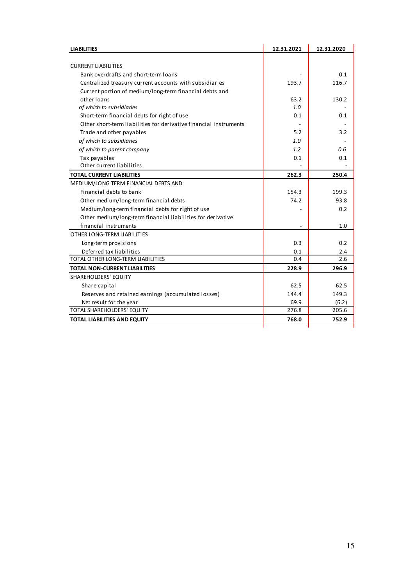| <b>LIABILITIES</b>                                                | 12.31.2021 | 12.31.2020 |
|-------------------------------------------------------------------|------------|------------|
|                                                                   |            |            |
| <b>CURRENT LIABILITIES</b>                                        |            |            |
| Bank overdrafts and short-term loans                              |            | 0.1        |
| Centralized treasury current accounts with subsidiaries           | 193.7      | 116.7      |
| Current portion of medium/long-term financial debts and           |            |            |
| other loans                                                       | 63.2       | 130.2      |
| of which to subsidiaries                                          | 1.0        |            |
| Short-term financial debts for right of use                       | 0.1        | 0.1        |
| Other short-term liabilities for derivative financial instruments |            |            |
| Trade and other payables                                          | 5.2        | 3.2        |
| of which to subsidiaries                                          | 1.0        |            |
| of which to parent company                                        | 1.2        | 0.6        |
| Tax payables                                                      | 0.1        | 0.1        |
| Other current liabilities                                         |            |            |
| <b>TOTAL CURRENT LIABILITIES</b>                                  | 262.3      | 250.4      |
| MEDIUM/LONG TERM FINANCIAL DEBTS AND                              |            |            |
| Financial debts to bank                                           | 154.3      | 199.3      |
| Other medium/long-term financial debts                            | 74.2       | 93.8       |
| Medium/long-term financial debts for right of use                 |            | 0.2        |
| Other medium/long-term financial liabilities for derivative       |            |            |
| financial instruments                                             |            | 1.0        |
| OTHER LONG-TERM LIABILITIES                                       |            |            |
| Long-term provisions                                              | 0.3        | 0.2        |
| Deferred tax liabilities                                          | 0.1        | 2.4        |
| TOTAL OTHER LONG-TERM LIABILITIES                                 | 0.4        | 2.6        |
| <b>TOTAL NON-CURRENT LIABILITIES</b>                              | 228.9      | 296.9      |
| SHAREHOLDERS' EQUITY                                              |            |            |
| Share capital                                                     | 62.5       | 62.5       |
| Reserves and retained earnings (accumulated losses)               | 144.4      | 149.3      |
| Net result for the year                                           | 69.9       | (6.2)      |
| TOTAL SHAREHOLDERS' EQUITY                                        | 276.8      | 205.6      |
| <b>TOTAL LIABILITIES AND EQUITY</b>                               | 768.0      | 752.9      |
|                                                                   |            |            |